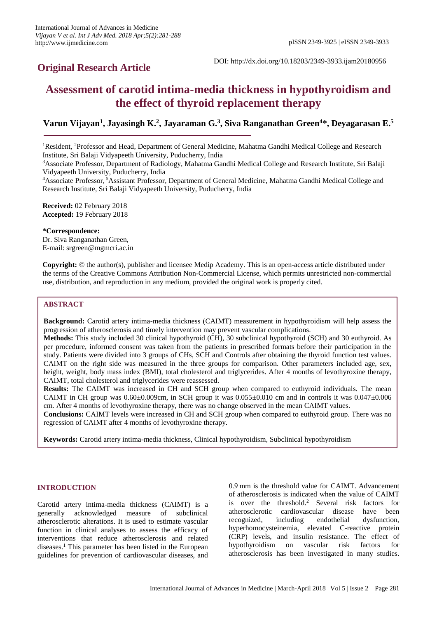## **Original Research Article**

DOI: http://dx.doi.org/10.18203/2349-3933.ijam20180956

# **Assessment of carotid intima-media thickness in hypothyroidism and the effect of thyroid replacement therapy**

## **Varun Vijayan<sup>1</sup> , Jayasingh K. 2 , Jayaraman G. 3 , Siva Ranganathan Green<sup>4</sup>\*, Deyagarasan E. 5**

<sup>1</sup>Resident, <sup>2</sup>Professor and Head, Department of General Medicine, Mahatma Gandhi Medical College and Research Institute, Sri Balaji Vidyapeeth University, Puducherry, India

<sup>4</sup>Associate Professor, <sup>5</sup>Assistant Professor, Department of General Medicine, Mahatma Gandhi Medical College and Research Institute, Sri Balaji Vidyapeeth University, Puducherry, India

**Received:** 02 February 2018 **Accepted:** 19 February 2018

**\*Correspondence:**

Dr. Siva Ranganathan Green, E-mail: srgreen@mgmcri.ac.in

**Copyright:** © the author(s), publisher and licensee Medip Academy. This is an open-access article distributed under the terms of the Creative Commons Attribution Non-Commercial License, which permits unrestricted non-commercial use, distribution, and reproduction in any medium, provided the original work is properly cited.

## **ABSTRACT**

**Background:** Carotid artery intima-media thickness (CAIMT) measurement in hypothyroidism will help assess the progression of atherosclerosis and timely intervention may prevent vascular complications.

**Methods:** This study included 30 clinical hypothyroid (CH), 30 subclinical hypothyroid (SCH) and 30 euthyroid. As per procedure, informed consent was taken from the patients in prescribed formats before their participation in the study. Patients were divided into 3 groups of CHs, SCH and Controls after obtaining the thyroid function test values. CAIMT on the right side was measured in the three groups for comparison. Other parameters included age, sex, height, weight, body mass index (BMI), total cholesterol and triglycerides. After 4 months of levothyroxine therapy, CAIMT, total cholesterol and triglycerides were reassessed.

**Results:** The CAIMT was increased in CH and SCH group when compared to euthyroid individuals. The mean CAIMT in CH group was  $0.60\pm0.009$ cm, in SCH group it was  $0.055\pm0.010$  cm and in controls it was  $0.047\pm0.006$ cm. After 4 months of levothyroxine therapy, there was no change observed in the mean CAIMT values.

**Conclusions:** CAIMT levels were increased in CH and SCH group when compared to euthyroid group. There was no regression of CAIMT after 4 months of levothyroxine therapy.

**Keywords:** Carotid artery intima-media thickness, Clinical hypothyroidism, Subclinical hypothyroidism

## **INTRODUCTION**

Carotid artery intima-media thickness (CAIMT) is a generally acknowledged measure of subclinical atherosclerotic alterations. It is used to estimate vascular function in clinical analyses to assess the efficacy of interventions that reduce atherosclerosis and related diseases.<sup>1</sup> This parameter has been listed in the European guidelines for prevention of cardiovascular diseases, and 0.9 mm is the threshold value for CAIMT. Advancement of atherosclerosis is indicated when the value of CAIMT is over the threshold.<sup>2</sup> Several risk factors for atherosclerotic cardiovascular disease have been recognized, including endothelial dysfunction, hyperhomocysteinemia, elevated C-reactive protein (CRP) levels, and insulin resistance. The effect of hypothyroidism on vascular risk factors for atherosclerosis has been investigated in many studies.

<sup>3</sup>Associate Professor, Department of Radiology, Mahatma Gandhi Medical College and Research Institute, Sri Balaji Vidyapeeth University, Puducherry, India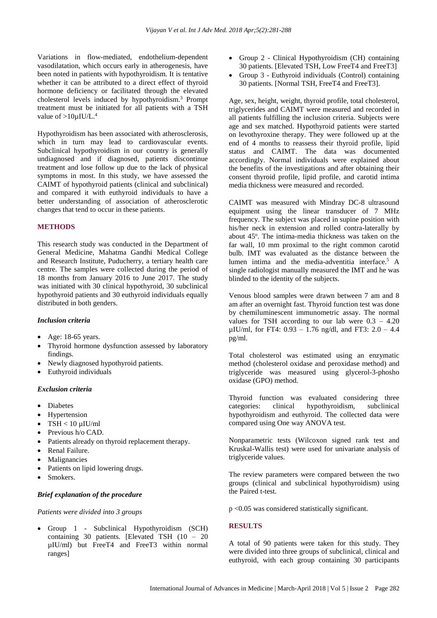Variations in flow-mediated, endothelium-dependent vasodilatation, which occurs early in atherogenesis, have been noted in patients with hypothyroidism. It is tentative whether it can be attributed to a direct effect of thyroid hormone deficiency or facilitated through the elevated cholesterol levels induced by hypothyroidism.<sup>3</sup> Prompt treatment must be initiated for all patients with a TSH value of >10µIU/L.<sup>4</sup>

Hypothyroidism has been associated with atherosclerosis, which in turn may lead to cardiovascular events. Subclinical hypothyroidism in our country is generally undiagnosed and if diagnosed, patients discontinue treatment and lose follow up due to the lack of physical symptoms in most. In this study, we have assessed the CAIMT of hypothyroid patients (clinical and subclinical) and compared it with euthyroid individuals to have a better understanding of association of atherosclerotic changes that tend to occur in these patients.

## **METHODS**

This research study was conducted in the Department of General Medicine, Mahatma Gandhi Medical College and Research Institute, Puducherry, a tertiary health care centre. The samples were collected during the period of 18 months from January 2016 to June 2017. The study was initiated with 30 clinical hypothyroid, 30 subclinical hypothyroid patients and 30 euthyroid individuals equally distributed in both genders.

#### *Inclusion criteria*

- Age: 18-65 years.
- Thyroid hormone dysfunction assessed by laboratory findings.
- Newly diagnosed hypothyroid patients.
- Euthyroid individuals

## *Exclusion criteria*

- **Diabetes**
- **Hypertension**
- $TSH < 10 \mu$ IU/ml
- Previous h/o CAD.
- Patients already on thyroid replacement therapy.
- Renal Failure.
- **Malignancies**
- Patients on lipid lowering drugs.
- Smokers.

## *Brief explanation of the procedure*

#### *Patients were divided into 3 groups*

• Group 1 - Subclinical Hypothyroidism (SCH) containing 30 patients. [Elevated TSH (10 – 20 µIU/ml) but FreeT4 and FreeT3 within normal ranges]

- Group 2 Clinical Hypothyroidism (CH) containing 30 patients. [Elevated TSH, Low FreeT4 and FreeT3]
- Group 3 Euthyroid individuals (Control) containing 30 patients. [Normal TSH, FreeT4 and FreeT3].

Age, sex, height, weight, thyroid profile, total cholesterol, triglycerides and CAIMT were measured and recorded in all patients fulfilling the inclusion criteria. Subjects were age and sex matched. Hypothyroid patients were started on levothyroxine therapy. They were followed up at the end of 4 months to reassess their thyroid profile, lipid status and CAIMT. The data was documented accordingly. Normal individuals were explained about the benefits of the investigations and after obtaining their consent thyroid profile, lipid profile, and carotid intima media thickness were measured and recorded.

CAIMT was measured with Mindray DC-8 ultrasound equipment using the linear transducer of 7 MHz frequency. The subject was placed in supine position with his/her neck in extension and rolled contra-laterally by about 45°. The intima-media thickness was taken on the far wall, 10 mm proximal to the right common carotid bulb. IMT was evaluated as the distance between the lumen intima and the media-adventitia interface. <sup>5</sup> A single radiologist manually measured the IMT and he was blinded to the identity of the subjects.

Venous blood samples were drawn between 7 am and 8 am after an overnight fast. Thyroid function test was done by chemiluminescent immunometric assay. The normal values for TSH according to our lab were  $0.3 - 4.20$ uIU/ml, for FT4:  $0.93 - 1.76$  ng/dl, and FT3:  $2.0 - 4.4$ pg/ml.

Total cholesterol was estimated using an enzymatic method (cholesterol oxidase and peroxidase method) and triglyceride was measured using glycerol-3-phosho oxidase (GPO) method.

Thyroid function was evaluated considering three categories: clinical hypothyroidism, subclinical hypothyroidism and euthyroid. The collected data were compared using One way ANOVA test.

Nonparametric tests (Wilcoxon signed rank test and Kruskal-Wallis test) were used for univariate analysis of triglyceride values.

The review parameters were compared between the two groups (clinical and subclinical hypothyroidism) using the Paired t-test.

p <0.05 was considered statistically significant.

## **RESULTS**

A total of 90 patients were taken for this study. They were divided into three groups of subclinical, clinical and euthyroid, with each group containing 30 participants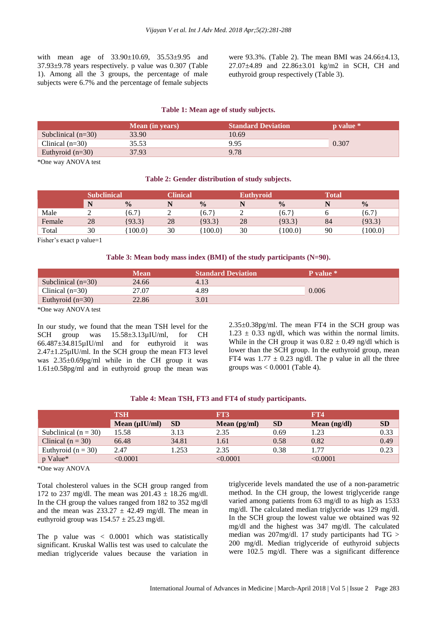with mean age of  $33.90 \pm 10.69$ ,  $35.53 \pm 9.95$  and 37.93±9.78 years respectively. p value was 0.307 (Table 1). Among all the 3 groups, the percentage of male subjects were 6.7% and the percentage of female subjects

were 93.3%. (Table 2). The mean BMI was 24.66±4.13, 27.07±4.89 and 22.86±3.01 kg/m2 in SCH, CH and euthyroid group respectively (Table 3).

## **Table 1: Mean age of study subjects.**

|                      | <b>Mean</b> (in years) | <b>Standard Deviation</b> | <b>p</b> value * |
|----------------------|------------------------|---------------------------|------------------|
| Subclinical $(n=30)$ | 33.90                  | 10.69                     |                  |
| Clinical $(n=30)$    | 35.53                  | 9.95                      | 0.307            |
| Euthyroid $(n=30)$   | 37.93                  | 9.78                      |                  |

\*One way ANOVA test

#### **Table 2: Gender distribution of study subjects.**

|        | <b>Subclinical</b> |               | <b>Clinical</b> |               | <b>Euthyroid</b> |               | <b>Total</b> |               |
|--------|--------------------|---------------|-----------------|---------------|------------------|---------------|--------------|---------------|
|        | N                  | $\frac{0}{0}$ |                 | $\frac{0}{0}$ | N                | $\frac{0}{0}$ |              | $\frac{0}{0}$ |
| Male   |                    | 6.7           |                 | ,6.7          |                  | 16.7          |              | (6.7)         |
| Female | 28                 | [93.3]        | 28              | ${93.3}$      | 28               | ${93.3}$      | 84           | ${93.3}$      |
| Total  | 30                 | 100.0         | 30              | 100.0         | 30               | 100.0         | 90           | 100.0         |

Fisher's exact p value=1

#### **Table 3: Mean body mass index (BMI) of the study participants (N=90).**

| <b>Mean</b> | <b>Standard Deviation</b> | <b>P</b> value * |  |
|-------------|---------------------------|------------------|--|
| 24.66       | 4.13                      |                  |  |
| 27.07       | 4.89                      | 0.006            |  |
| 22.86       | 3.01                      |                  |  |
|             |                           |                  |  |

\*One way ANOVA test

In our study, we found that the mean TSH level for the SCH group was  $15.58\pm3.13\mu$ IU/ml, for CH 66.487±34.815µIU/ml and for euthyroid it was  $2.47\pm1.25\mu$ IU/ml. In the SCH group the mean FT3 level was 2.35±0.69pg/ml while in the CH group it was 1.61±0.58pg/ml and in euthyroid group the mean was 2.35±0.38pg/ml. The mean FT4 in the SCH group was  $1.23 \pm 0.33$  ng/dl, which was within the normal limits. While in the CH group it was  $0.82 \pm 0.49$  ng/dl which is lower than the SCH group. In the euthyroid group, mean FT4 was  $1.77 \pm 0.23$  ng/dl. The p value in all the three groups was  $< 0.0001$  (Table 4).

#### **Table 4: Mean TSH, FT3 and FT4 of study participants.**

|                        | <b>TSH</b>          |           | FT3            |           | <b>FT4</b>     |           |
|------------------------|---------------------|-----------|----------------|-----------|----------------|-----------|
|                        | Mean $(\mu I U/ml)$ | <b>SD</b> | Mean $(pg/ml)$ | <b>SD</b> | Mean $(ng/dl)$ | <b>SD</b> |
| Subclinical $(n = 30)$ | 15.58               | 3.13      | 2.35           | 0.69      | 1.23           | 0.33      |
| Clinical $(n = 30)$    | 66.48               | 34.81     | 1.61           | 0.58      | 0.82           | 0.49      |
| Euthyroid $(n = 30)$   | 2.47                | 1.253     | 2.35           | 0.38      | 1.77           | 0.23      |
| p Value*               | < 0.0001            |           | < 0.0001       |           | < 0.0001       |           |

\*One way ANOVA

Total cholesterol values in the SCH group ranged from 172 to 237 mg/dl. The mean was  $201.43 \pm 18.26$  mg/dl. In the CH group the values ranged from 182 to 352 mg/dl and the mean was  $233.27 \pm 42.49$  mg/dl. The mean in euthyroid group was  $154.57 \pm 25.23$  mg/dl.

The p value was  $\langle 0.0001 \rangle$  which was statistically significant. Kruskal Wallis test was used to calculate the median triglyceride values because the variation in

triglyceride levels mandated the use of a non-parametric method. In the CH group, the lowest triglyceride range varied among patients from 63 mg/dl to as high as 1533 mg/dl. The calculated median triglycride was 129 mg/dl. In the SCH group the lowest value we obtained was 92 mg/dl and the highest was 347 mg/dl. The calculated median was 207mg/dl. 17 study participants had TG > 200 mg/dl. Median triglyceride of euthyroid subjects were 102.5 mg/dl. There was a significant difference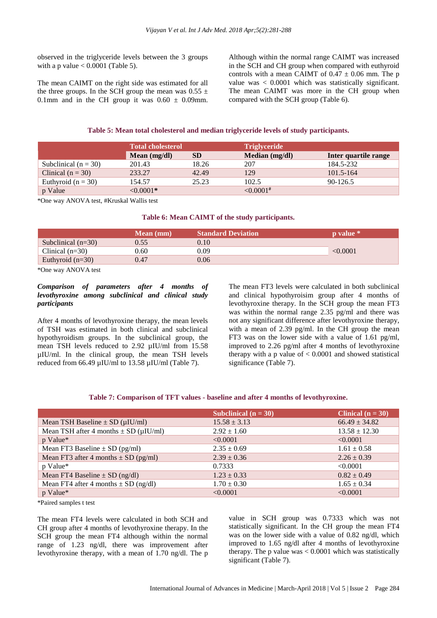observed in the triglyceride levels between the 3 groups with a p value  $< 0.0001$  (Table 5).

The mean CAIMT on the right side was estimated for all the three groups. In the SCH group the mean was  $0.55 \pm$ 0.1mm and in the CH group it was  $0.60 \pm 0.09$ mm.

Although within the normal range CAIMT was increased in the SCH and CH group when compared with euthyroid controls with a mean CAIMT of  $0.47 \pm 0.06$  mm. The p value was < 0.0001 which was statistically significant. The mean CAIMT was more in the CH group when compared with the SCH group (Table 6).

#### **Table 5: Mean total cholesterol and median triglyceride levels of study participants.**

|                          | <b>Total cholesterol</b> |           | <b>Triglyceride</b> |                      |  |
|--------------------------|--------------------------|-----------|---------------------|----------------------|--|
|                          | Mean $(mg/dl)$           | <b>SD</b> | Median (mg/dl)      | Inter quartile range |  |
| Subclinical ( $n = 30$ ) | 201.43                   | 18.26     | 207                 | 184.5-232            |  |
| Clinical $(n = 30)$      | 233.27                   | 42.49     | 129                 | $101.5 - 164$        |  |
| Euthyroid ( $n = 30$ )   | 154.57                   | 25.23     | 102.5               | 90-126.5             |  |
| p Value                  | $< 0.0001*$              |           | ${<}0.0001^{\#}$    |                      |  |

\*One way ANOVA test, #Kruskal Wallis test

#### **Table 6: Mean CAIMT of the study participants.**

| <b>Mean</b> (mm) | <b>Standard Deviation</b> | <b>p</b> value * |
|------------------|---------------------------|------------------|
| 0.55             | 0.10                      |                  |
| 0.60             | 0.09                      | < 0.0001         |
| 0.47             | 0.06                      |                  |
|                  |                           |                  |

\*One way ANOVA test

## *Comparison of parameters after 4 months of levothyroxine among subclinical and clinical study participants*

After 4 months of levothyroxine therapy, the mean levels of TSH was estimated in both clinical and subclinical hypothyroidism groups. In the subclinical group, the mean TSH levels reduced to 2.92 µIU/ml from 15.58 µIU/ml. In the clinical group, the mean TSH levels reduced from 66.49 µIU/ml to 13.58 µIU/ml (Table 7).

The mean FT3 levels were calculated in both subclinical and clinical hypothyroisim group after 4 months of levothyroxine therapy. In the SCH group the mean FT3 was within the normal range 2.35 pg/ml and there was not any significant difference after levothyroxine therapy, with a mean of 2.39 pg/ml. In the CH group the mean FT3 was on the lower side with a value of 1.61 pg/ml, improved to 2.26 pg/ml after 4 months of levothyroxine therapy with a p value of  $< 0.0001$  and showed statistical significance (Table 7).

#### **Table 7: Comparison of TFT values - baseline and after 4 months of levothyroxine.**

|                                                 | Subclinical $(n = 30)$ | Clinical $(n = 30)$ |
|-------------------------------------------------|------------------------|---------------------|
| Mean TSH Baseline $\pm$ SD ( $\mu$ IU/ml)       | $15.58 \pm 3.13$       | $66.49 \pm 34.82$   |
| Mean TSH after 4 months $\pm$ SD ( $\mu$ IU/ml) | $2.92 \pm 1.60$        | $13.58 \pm 12.30$   |
| p Value*                                        | < 0.0001               | < 0.0001            |
| Mean FT3 Baseline $\pm$ SD (pg/ml)              | $2.35 \pm 0.69$        | $1.61 \pm 0.58$     |
| Mean FT3 after 4 months $\pm$ SD (pg/ml)        | $2.39 \pm 0.36$        | $2.26 \pm 0.39$     |
| p Value*                                        | 0.7333                 | < 0.0001            |
| Mean FT4 Baseline $\pm$ SD (ng/dl)              | $1.23 \pm 0.33$        | $0.82 \pm 0.49$     |
| Mean FT4 after 4 months $\pm$ SD (ng/dl)        | $1.70 \pm 0.30$        | $1.65 \pm 0.34$     |
| p Value*                                        | < 0.0001               | < 0.0001            |

\*Paired samples t test

The mean FT4 levels were calculated in both SCH and CH group after 4 months of levothyroxine therapy. In the SCH group the mean FT4 although within the normal range of 1.23 ng/dl, there was improvement after levothyroxine therapy, with a mean of 1.70 ng/dl. The p value in SCH group was 0.7333 which was not statistically significant. In the CH group the mean FT4 was on the lower side with a value of 0.82 ng/dl, which improved to 1.65 ng/dl after 4 months of levothyroxine therapy. The p value was  $< 0.0001$  which was statistically significant (Table 7).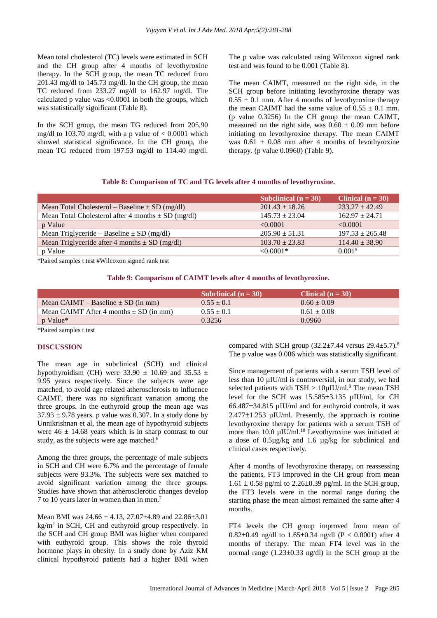Mean total cholesterol (TC) levels were estimated in SCH and the CH group after 4 months of levothyroxine therapy. In the SCH group, the mean TC reduced from 201.43 mg/dl to 145.73 mg/dl. In the CH group, the mean TC reduced from 233.27 mg/dl to 162.97 mg/dl. The calculated p value was <0.0001 in both the groups, which was statistically significant (Table 8).

In the SCH group, the mean TG reduced from 205.90 mg/dl to 103.70 mg/dl, with a p value of  $< 0.0001$  which showed statistical significance. In the CH group, the mean TG reduced from 197.53 mg/dl to 114.40 mg/dl. The p value was calculated using Wilcoxon signed rank test and was found to be 0.001 (Table 8).

The mean CAIMT, measured on the right side, in the SCH group before initiating levothyroxine therapy was  $0.55 \pm 0.1$  mm. After 4 months of levothyroxine therapy the mean CAIMT had the same value of  $0.55 \pm 0.1$  mm. (p value 0.3256) In the CH group the mean CAIMT, measured on the right side, was  $0.60 \pm 0.09$  mm before initiating on levothyroxine therapy. The mean CAIMT was  $0.61 \pm 0.08$  mm after 4 months of levothyroxine therapy. (p value 0.0960) (Table 9).

## **Table 8: Comparison of TC and TG levels after 4 months of levothyroxine.**

|                                                        | Subclinical $(n = 30)$ | Clinical $(n = 30)$  |
|--------------------------------------------------------|------------------------|----------------------|
| Mean Total Cholesterol – Baseline $\pm$ SD (mg/dl)     | $201.43 + 18.26$       | $233.27 + 42.49$     |
| Mean Total Cholesterol after 4 months $\pm$ SD (mg/dl) | $145.73 \pm 23.04$     | $162.97 \pm 24.71$   |
| p Value                                                | < 0.0001               | $\leq 0.0001$        |
| Mean Triglyceride – Baseline $\pm$ SD (mg/dl)          | $205.90 \pm 51.31$     | $197.53 + 265.48$    |
| Mean Triglyceride after 4 months $\pm$ SD (mg/dl)      | $103.70 \pm 23.83$     | $114.40 \pm 38.90$   |
| p Value                                                | $\leq 0.0001*$         | $0.001$ <sup>#</sup> |

\*Paired samples t test #Wilcoxon signed rank test

#### **Table 9: Comparison of CAIMT levels after 4 months of levothyroxine.**

|                                            | Subclinical $(n = 30)$ | Clinical $(n = 30)$ |
|--------------------------------------------|------------------------|---------------------|
| Mean CAIMT – Baseline $\pm$ SD (in mm)     | $0.55 + 0.1$           | $0.60 + 0.09$       |
| Mean CAIMT After 4 months $\pm$ SD (in mm) | $0.55 \pm 0.1$         | $0.61 + 0.08$       |
| p Value*                                   | 0.3256                 | 0.0960              |

\*Paired samples t test

#### **DISCUSSION**

The mean age in subclinical (SCH) and clinical hypothyroidism (CH) were  $33.90 \pm 10.69$  and  $35.53 \pm 10.69$ 9.95 years respectively. Since the subjects were age matched, to avoid age related atherosclerosis to influence CAIMT, there was no significant variation among the three groups. In the euthyroid group the mean age was  $37.93 \pm 9.78$  years. p value was 0.307. In a study done by Unnikrishnan et al, the mean age of hypothyroid subjects were  $46 \pm 14.68$  years which is in sharp contrast to our study, as the subjects were age matched.<sup>6</sup>

Among the three groups, the percentage of male subjects in SCH and CH were 6.7% and the percentage of female subjects were 93.3%. The subjects were sex matched to avoid significant variation among the three groups. Studies have shown that atherosclerotic changes develop 7 to 10 years later in women than in men.<sup>7</sup>

Mean BMI was  $24.66 \pm 4.13$ ,  $27.07 \pm 4.89$  and  $22.86 \pm 3.01$ kg/m<sup>2</sup> in SCH, CH and euthyroid group respectively. In the SCH and CH group BMI was higher when compared with euthyroid group. This shows the role thyroid hormone plays in obesity. In a study done by Aziz KM clinical hypothyroid patients had a higher BMI when compared with SCH group  $(32.2\pm7.44$  versus  $29.4\pm5.7)$ .<sup>8</sup> The p value was 0.006 which was statistically significant.

Since management of patients with a serum TSH level of less than 10 µIU/ml is controversial, in our study, we had selected patients with  $TSH > 10 \mu$ IU/ml.<sup>9</sup> The mean TSH level for the SCH was  $15.585\pm3.135$   $\mu$ IU/ml, for CH  $66.487\pm34.815$  uIU/ml and for euthyroid controls, it was  $2.477 \pm 1.253$  µIU/ml. Presently, the approach is routine levothyroxine therapy for patients with a serum TSH of more than  $10.0 \mu$ IU/ml.<sup>10</sup> Levothyroxine was initiated at a dose of 0.5µg/kg and 1.6 µg/kg for subclinical and clinical cases respectively.

After 4 months of levothyroxine therapy, on reassessing the patients, FT3 improved in the CH group from mean  $1.61 \pm 0.58$  pg/ml to  $2.26 \pm 0.39$  pg/ml. In the SCH group, the FT3 levels were in the normal range during the starting phase the mean almost remained the same after 4 months.

FT4 levels the CH group improved from mean of  $0.82\pm0.49$  ng/dl to 1.65 $\pm0.34$  ng/dl (P < 0.0001) after 4 months of therapy. The mean FT4 level was in the normal range  $(1.23\pm0.33 \text{ ng/dl})$  in the SCH group at the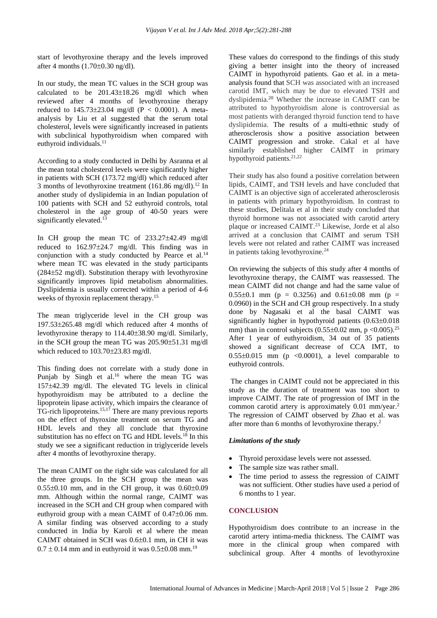start of levothyroxine therapy and the levels improved after 4 months  $(1.70\pm0.30 \text{ ng/dl}).$ 

In our study, the mean TC values in the SCH group was calculated to be  $201.43\pm18.26$  mg/dl which when reviewed after 4 months of levothyroxine therapy reduced to  $145.73 \pm 23.04$  mg/dl (P < 0.0001). A metaanalysis by Liu et al suggested that the serum total cholesterol, levels were significantly increased in patients with subclinical hypothyroidism when compared with euthyroid individuals.<sup>11</sup>

According to a study conducted in Delhi by Asranna et al the mean total cholesterol levels were significantly higher in patients with SCH (173.72 mg/dl) which reduced after 3 months of levothyroxine treatment  $(161.86 \text{ mg/dl})$ .<sup>12</sup> In another study of dyslipidemia in an Indian population of 100 patients with SCH and 52 euthyroid controls, total cholesterol in the age group of 40-50 years were significantly elevated.<sup>13</sup>

In CH group the mean TC of  $233.27 \pm 42.49$  mg/dl reduced to  $162.97 \pm 24.7$  mg/dl. This finding was in conjunction with a study conducted by Pearce et al. $^{14}$ where mean TC was elevated in the study participants  $(284\pm52 \text{ mg/dl})$ . Substitution therapy with levothyroxine significantly improves lipid metabolism abnormalities. Dyslipidemia is usually corrected within a period of 4-6 weeks of thyroxin replacement therapy.<sup>15</sup>

The mean triglyceride level in the CH group was 197.53265.48 mg/dl which reduced after 4 months of levothyroxine therapy to  $114.40\pm38.90$  mg/dl. Similarly, in the SCH group the mean TG was  $205.90\pm51.31$  mg/dl which reduced to  $103.70\pm23.83$  mg/dl.

This finding does not correlate with a study done in Punjab by Singh et al.<sup>16</sup> where the mean TG was 15742.39 mg/dl. The elevated TG levels in clinical hypothyroidism may be attributed to a decline the lipoprotein lipase activity, which impairs the clearance of TG-rich lipoproteins.15,17 There are many previous reports on the effect of thyroxine treatment on serum TG and HDL levels and they all conclude that thyroxine substitution has no effect on TG and HDL levels.<sup>18</sup> In this study we see a significant reduction in triglyceride levels after 4 months of levothyroxine therapy.

The mean CAIMT on the right side was calculated for all the three groups. In the SCH group the mean was  $0.55\pm0.10$  mm, and in the CH group, it was  $0.60\pm0.09$ mm. Although within the normal range, CAIMT was increased in the SCH and CH group when compared with euthyroid group with a mean CAIMT of  $0.47\pm0.06$  mm. A similar finding was observed according to a study conducted in India by Karoli et al where the mean CAIMT obtained in SCH was  $0.6\pm0.1$  mm, in CH it was  $0.7 \pm 0.14$  mm and in euthyroid it was  $0.5 \pm 0.08$  mm.<sup>19</sup>

These values do correspond to the findings of this study giving a better insight into the theory of increased CAIMT in hypothyroid patients. Gao et al. in a metaanalysis found that SCH was associated with an increased carotid IMT, which may be due to elevated TSH and dyslipidemia.<sup>20</sup> Whether the increase in CAIMT can be attributed to hypothyroidism alone is controversial as most patients with deranged thyroid function tend to have dyslipidemia. The results of a multi-ethnic study of atherosclerosis show a positive association between CAIMT progression and stroke. Cakal et al have similarly established higher CAIMT in primary hypothyroid patients.<sup>21,22</sup>

Their study has also found a positive correlation between lipids, CAIMT, and TSH levels and have concluded that CAIMT is an objective sign of accelerated atherosclerosis in patients with primary hypothyroidism. In contrast to these studies, Delitala et al in their study concluded that thyroid hormone was not associated with carotid artery plaque or increased CAIMT.<sup>23</sup> Likewise, Jorde et al also arrived at a conclusion that CAIMT and serum TSH levels were not related and rather CAIMT was increased in patients taking levothyroxine.<sup>24</sup>

On reviewing the subjects of this study after 4 months of levothyroxine therapy, the CAIMT was reassessed. The mean CAIMT did not change and had the same value of  $0.55\pm0.1$  mm (p = 0.3256) and  $0.61\pm0.08$  mm (p = 0.0960) in the SCH and CH group respectively. In a study done by Nagasaki et al the basal CAIMT was significantly higher in hypothyroid patients  $(0.63\pm0.018)$ mm) than in control subjects  $(0.55\pm0.02$  mm, p <0.005).<sup>25</sup> After 1 year of euthyroidism, 34 out of 35 patients showed a significant decrease of CCA IMT, to  $0.55\pm0.015$  mm (p <0.0001), a level comparable to euthyroid controls.

The changes in CAIMT could not be appreciated in this study as the duration of treatment was too short to improve CAIMT. The rate of progression of IMT in the common carotid artery is approximately 0.01 mm/year.<sup>2</sup> The regression of CAIMT observed by Zhao et al. was after more than 6 months of levothyroxine therapy.<sup>2</sup>

## *Limitations of the study*

- Thyroid peroxidase levels were not assessed.
- The sample size was rather small.
- The time period to assess the regression of CAIMT was not sufficient. Other studies have used a period of 6 months to 1 year.

## **CONCLUSION**

Hypothyroidism does contribute to an increase in the carotid artery intima-media thickness. The CAIMT was more in the clinical group when compared with subclinical group. After 4 months of levothyroxine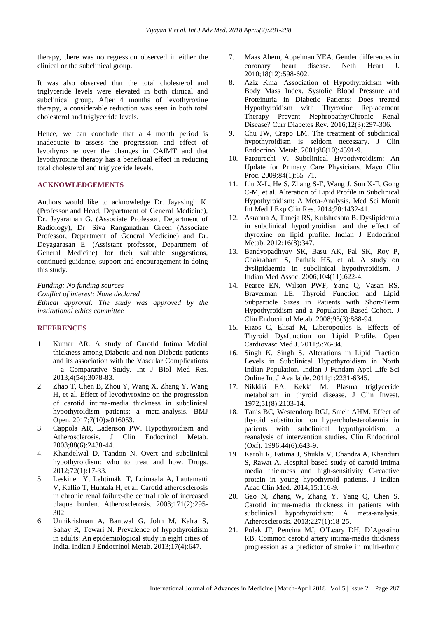therapy, there was no regression observed in either the clinical or the subclinical group.

It was also observed that the total cholesterol and triglyceride levels were elevated in both clinical and subclinical group. After 4 months of levothyroxine therapy, a considerable reduction was seen in both total cholesterol and triglyceride levels.

Hence, we can conclude that a 4 month period is inadequate to assess the progression and effect of levothyroxine over the changes in CAIMT and that levothyroxine therapy has a beneficial effect in reducing total cholesterol and triglyceride levels.

#### **ACKNOWLEDGEMENTS**

Authors would like to acknowledge Dr. Jayasingh K. (Professor and Head, Department of General Medicine), Dr. Jayaraman G. (Associate Professor, Department of Radiology), Dr. Siva Ranganathan Green (Associate Professor, Department of General Medicine) and Dr. Deyagarasan E. (Assistant professor, Department of General Medicine) for their valuable suggestions, continued guidance, support and encouragement in doing this study.

*Funding: No funding sources Conflict of interest: None declared Ethical approval: The study was approved by the institutional ethics committee*

## **REFERENCES**

- 1. Kumar AR. A study of Carotid Intima Medial thickness among Diabetic and non Diabetic patients and its association with the Vascular Complications - a Comparative Study. Int J Biol Med Res. 2013;4(54):3078-83.
- 2. Zhao T, Chen B, Zhou Y, Wang X, Zhang Y, Wang H, et al. Effect of levothyroxine on the progression of carotid intima-media thickness in subclinical hypothyroidism patients: a meta-analysis. BMJ Open. 2017;7(10):e016053.
- 3. Cappola AR, Ladenson PW. Hypothyroidism and Atherosclerosis. J Clin Endocrinol Metab. 2003;88(6):2438-44.
- 4. Khandelwal D, Tandon N. Overt and subclinical hypothyroidism: who to treat and how. Drugs. 2012;72(1):17-33.
- 5. Leskinen Y, Lehtimäki T, Loimaala A, Lautamatti V, Kallio T, Huhtala H, et al. Carotid atherosclerosis in chronic renal failure-the central role of increased plaque burden. Atherosclerosis. 2003;171(2):295- 302.
- 6. Unnikrishnan A, Bantwal G, John M, Kalra S, Sahay R, Tewari N. Prevalence of hypothyroidism in adults: An epidemiological study in eight cities of India. Indian J Endocrinol Metab. 2013;17(4):647.
- 7. Maas Ahem, Appelman YEA. Gender differences in coronary heart disease. Neth Heart J. 2010;18(12):598-602.
- 8. Aziz Kma. Association of Hypothyroidism with Body Mass Index, Systolic Blood Pressure and Proteinuria in Diabetic Patients: Does treated Hypothyroidism with Thyroxine Replacement Therapy Prevent Nephropathy/Chronic Renal Disease? Curr Diabetes Rev. 2016;12(3):297-306.
- 9. Chu JW, Crapo LM. The treatment of subclinical hypothyroidism is seldom necessary. J Clin Endocrinol Metab. 2001;86(10):4591-9.
- 10. Fatourechi V. Subclinical Hypothyroidism: An Update for Primary Care Physicians. Mayo Clin Proc. 2009;84(1):65–71.
- 11. Liu X-L, He S, Zhang S-F, Wang J, Sun X-F, Gong C-M, et al. Alteration of Lipid Profile in Subclinical Hypothyroidism: A Meta-Analysis. Med Sci Monit Int Med J Exp Clin Res. 2014;20:1432-41.
- 12. Asranna A, Taneja RS, Kulshreshta B. Dyslipidemia in subclinical hypothyroidism and the effect of thyroxine on lipid profile. Indian J Endocrinol Metab. 2012;16(8):347.
- 13. Bandyopadhyay SK, Basu AK, Pal SK, Roy P, Chakrabarti S, Pathak HS, et al. A study on dyslipidaemia in subclinical hypothyroidism. J Indian Med Assoc. 2006;104(11):622-4.
- 14. Pearce EN, Wilson PWF, Yang Q, Vasan RS, Braverman LE. Thyroid Function and Lipid Subparticle Sizes in Patients with Short-Term Hypothyroidism and a Population-Based Cohort. J Clin Endocrinol Metab. 2008;93(3):888-94.
- 15. Rizos C, Elisaf M, Liberopoulos E. Effects of Thyroid Dysfunction on Lipid Profile. Open Cardiovasc Med J. 2011;5:76-84.
- 16. Singh K, Singh S. Alterations in Lipid Fraction Levels in Subclinical Hypothyroidism in North Indian Population. Indian J Fundam Appl Life Sci Online Int J Available. 2011;1:2231-6345.
- 17. Nikkilä EA, Kekki M. Plasma triglyceride metabolism in thyroid disease. J Clin Invest. 1972;51(8):2103-14.
- 18. Tanis BC, Westendorp RGJ, Smelt AHM. Effect of thyroid substitution on hypercholesterolaemia in patients with subclinical hypothyroidism: a reanalysis of intervention studies. Clin Endocrinol (Oxf). 1996;44(6):643-9.
- 19. Karoli R, Fatima J, Shukla V, Chandra A, Khanduri S, Rawat A. Hospital based study of carotid intima media thickness and high-sensitivity C-reactive protein in young hypothyroid patients. J Indian Acad Clin Med. 2014;15:116-9.
- 20. Gao N, Zhang W, Zhang Y, Yang Q, Chen S. Carotid intima-media thickness in patients with subclinical hypothyroidism: A meta-analysis. Atherosclerosis. 2013;227(1):18-25.
- 21. Polak JF, Pencina MJ, O'Leary DH, D'Agostino RB. Common carotid artery intima-media thickness progression as a predictor of stroke in multi-ethnic